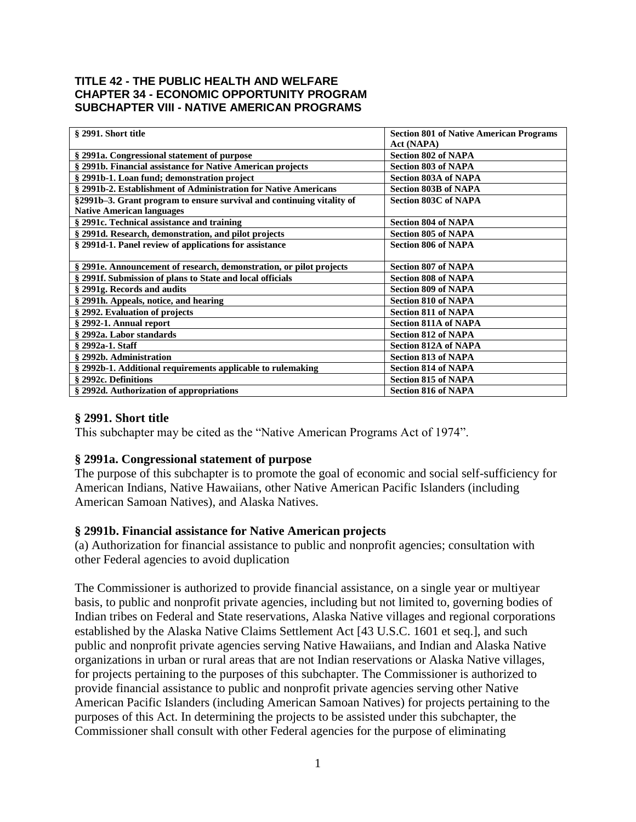#### **TITLE 42 - THE PUBLIC HEALTH AND WELFARE CHAPTER 34 - ECONOMIC OPPORTUNITY PROGRAM SUBCHAPTER VIII - NATIVE AMERICAN PROGRAMS**

| § 2991. Short title                                                   | <b>Section 801 of Native American Programs</b> |
|-----------------------------------------------------------------------|------------------------------------------------|
|                                                                       | Act (NAPA)                                     |
| § 2991a. Congressional statement of purpose                           | <b>Section 802 of NAPA</b>                     |
| § 2991b. Financial assistance for Native American projects            | <b>Section 803 of NAPA</b>                     |
| § 2991b-1. Loan fund; demonstration project                           | <b>Section 803A of NAPA</b>                    |
| § 2991b-2. Establishment of Administration for Native Americans       | <b>Section 803B of NAPA</b>                    |
| §2991b–3. Grant program to ensure survival and continuing vitality of | <b>Section 803C of NAPA</b>                    |
| <b>Native American languages</b>                                      |                                                |
| § 2991c. Technical assistance and training                            | <b>Section 804 of NAPA</b>                     |
| § 2991d. Research, demonstration, and pilot projects                  | <b>Section 805 of NAPA</b>                     |
| § 2991d-1. Panel review of applications for assistance                | <b>Section 806 of NAPA</b>                     |
|                                                                       |                                                |
| § 2991e. Announcement of research, demonstration, or pilot projects   | <b>Section 807 of NAPA</b>                     |
| § 2991f. Submission of plans to State and local officials             | <b>Section 808 of NAPA</b>                     |
| § 2991g. Records and audits                                           | <b>Section 809 of NAPA</b>                     |
| § 2991h. Appeals, notice, and hearing                                 | <b>Section 810 of NAPA</b>                     |
| § 2992. Evaluation of projects                                        | <b>Section 811 of NAPA</b>                     |
| § 2992-1. Annual report                                               | <b>Section 811A of NAPA</b>                    |
| § 2992a. Labor standards                                              | <b>Section 812 of NAPA</b>                     |
| § 2992a-1. Staff                                                      | <b>Section 812A of NAPA</b>                    |
| § 2992b. Administration                                               | <b>Section 813 of NAPA</b>                     |
| § 2992b-1. Additional requirements applicable to rulemaking           | <b>Section 814 of NAPA</b>                     |
| § 2992c. Definitions                                                  | <b>Section 815 of NAPA</b>                     |
| § 2992d. Authorization of appropriations                              | <b>Section 816 of NAPA</b>                     |

### **§ 2991. Short title**

This subchapter may be cited as the "Native American Programs Act of 1974".

### **§ 2991a. Congressional statement of purpose**

The purpose of this subchapter is to promote the goal of economic and social self-sufficiency for American Indians, Native Hawaiians, other Native American Pacific Islanders (including American Samoan Natives), and Alaska Natives.

#### **§ 2991b. Financial assistance for Native American projects**

(a) Authorization for financial assistance to public and nonprofit agencies; consultation with other Federal agencies to avoid duplication

The Commissioner is authorized to provide financial assistance, on a single year or multiyear basis, to public and nonprofit private agencies, including but not limited to, governing bodies of Indian tribes on Federal and State reservations, Alaska Native villages and regional corporations established by the Alaska Native Claims Settlement Act [43 U.S.C. 1601 et seq.], and such public and nonprofit private agencies serving Native Hawaiians, and Indian and Alaska Native organizations in urban or rural areas that are not Indian reservations or Alaska Native villages, for projects pertaining to the purposes of this subchapter. The Commissioner is authorized to provide financial assistance to public and nonprofit private agencies serving other Native American Pacific Islanders (including American Samoan Natives) for projects pertaining to the purposes of this Act. In determining the projects to be assisted under this subchapter, the Commissioner shall consult with other Federal agencies for the purpose of eliminating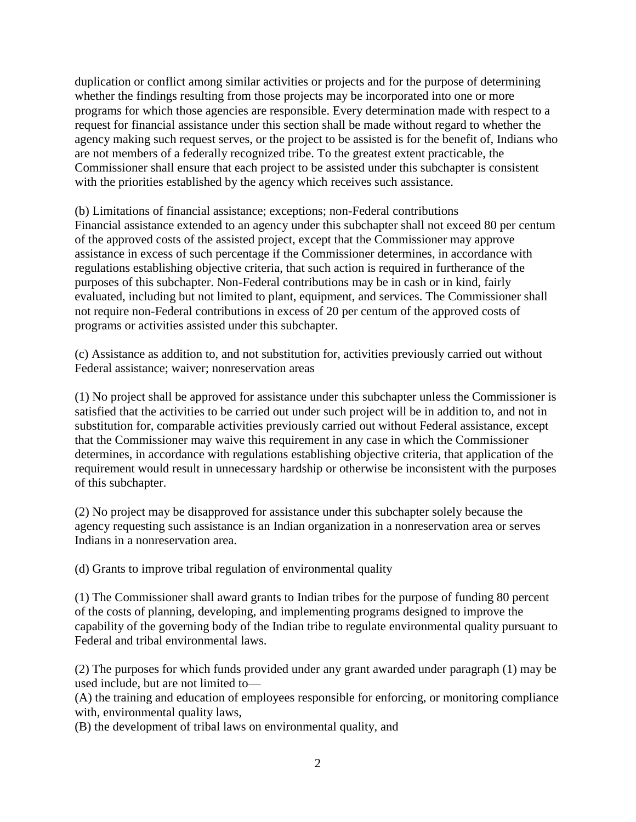duplication or conflict among similar activities or projects and for the purpose of determining whether the findings resulting from those projects may be incorporated into one or more programs for which those agencies are responsible. Every determination made with respect to a request for financial assistance under this section shall be made without regard to whether the agency making such request serves, or the project to be assisted is for the benefit of, Indians who are not members of a federally recognized tribe. To the greatest extent practicable, the Commissioner shall ensure that each project to be assisted under this subchapter is consistent with the priorities established by the agency which receives such assistance.

(b) Limitations of financial assistance; exceptions; non-Federal contributions Financial assistance extended to an agency under this subchapter shall not exceed 80 per centum of the approved costs of the assisted project, except that the Commissioner may approve assistance in excess of such percentage if the Commissioner determines, in accordance with regulations establishing objective criteria, that such action is required in furtherance of the purposes of this subchapter. Non-Federal contributions may be in cash or in kind, fairly evaluated, including but not limited to plant, equipment, and services. The Commissioner shall not require non-Federal contributions in excess of 20 per centum of the approved costs of programs or activities assisted under this subchapter.

(c) Assistance as addition to, and not substitution for, activities previously carried out without Federal assistance; waiver; nonreservation areas

(1) No project shall be approved for assistance under this subchapter unless the Commissioner is satisfied that the activities to be carried out under such project will be in addition to, and not in substitution for, comparable activities previously carried out without Federal assistance, except that the Commissioner may waive this requirement in any case in which the Commissioner determines, in accordance with regulations establishing objective criteria, that application of the requirement would result in unnecessary hardship or otherwise be inconsistent with the purposes of this subchapter.

(2) No project may be disapproved for assistance under this subchapter solely because the agency requesting such assistance is an Indian organization in a nonreservation area or serves Indians in a nonreservation area.

(d) Grants to improve tribal regulation of environmental quality

(1) The Commissioner shall award grants to Indian tribes for the purpose of funding 80 percent of the costs of planning, developing, and implementing programs designed to improve the capability of the governing body of the Indian tribe to regulate environmental quality pursuant to Federal and tribal environmental laws.

(2) The purposes for which funds provided under any grant awarded under paragraph (1) may be used include, but are not limited to—

(A) the training and education of employees responsible for enforcing, or monitoring compliance with, environmental quality laws,

(B) the development of tribal laws on environmental quality, and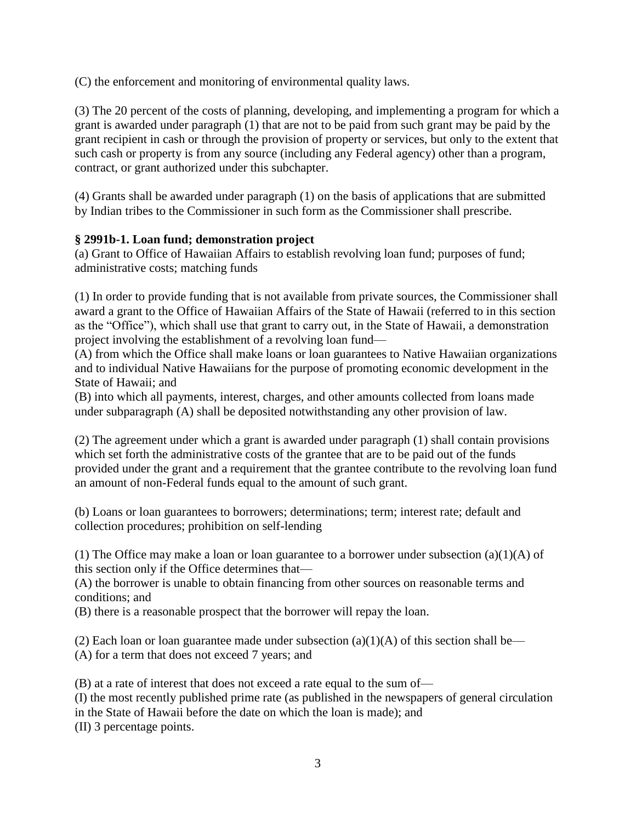(C) the enforcement and monitoring of environmental quality laws.

(3) The 20 percent of the costs of planning, developing, and implementing a program for which a grant is awarded under paragraph (1) that are not to be paid from such grant may be paid by the grant recipient in cash or through the provision of property or services, but only to the extent that such cash or property is from any source (including any Federal agency) other than a program, contract, or grant authorized under this subchapter.

(4) Grants shall be awarded under paragraph (1) on the basis of applications that are submitted by Indian tribes to the Commissioner in such form as the Commissioner shall prescribe.

### **§ 2991b-1. Loan fund; demonstration project**

(a) Grant to Office of Hawaiian Affairs to establish revolving loan fund; purposes of fund; administrative costs; matching funds

(1) In order to provide funding that is not available from private sources, the Commissioner shall award a grant to the Office of Hawaiian Affairs of the State of Hawaii (referred to in this section as the "Office"), which shall use that grant to carry out, in the State of Hawaii, a demonstration project involving the establishment of a revolving loan fund—

(A) from which the Office shall make loans or loan guarantees to Native Hawaiian organizations and to individual Native Hawaiians for the purpose of promoting economic development in the State of Hawaii; and

(B) into which all payments, interest, charges, and other amounts collected from loans made under subparagraph (A) shall be deposited notwithstanding any other provision of law.

(2) The agreement under which a grant is awarded under paragraph (1) shall contain provisions which set forth the administrative costs of the grantee that are to be paid out of the funds provided under the grant and a requirement that the grantee contribute to the revolving loan fund an amount of non-Federal funds equal to the amount of such grant.

(b) Loans or loan guarantees to borrowers; determinations; term; interest rate; default and collection procedures; prohibition on self-lending

(1) The Office may make a loan or loan guarantee to a borrower under subsection (a)(1)(A) of this section only if the Office determines that—

(A) the borrower is unable to obtain financing from other sources on reasonable terms and conditions; and

(B) there is a reasonable prospect that the borrower will repay the loan.

(2) Each loan or loan guarantee made under subsection (a)(1)(A) of this section shall be— (A) for a term that does not exceed 7 years; and

(B) at a rate of interest that does not exceed a rate equal to the sum of—

(I) the most recently published prime rate (as published in the newspapers of general circulation in the State of Hawaii before the date on which the loan is made); and

(II) 3 percentage points.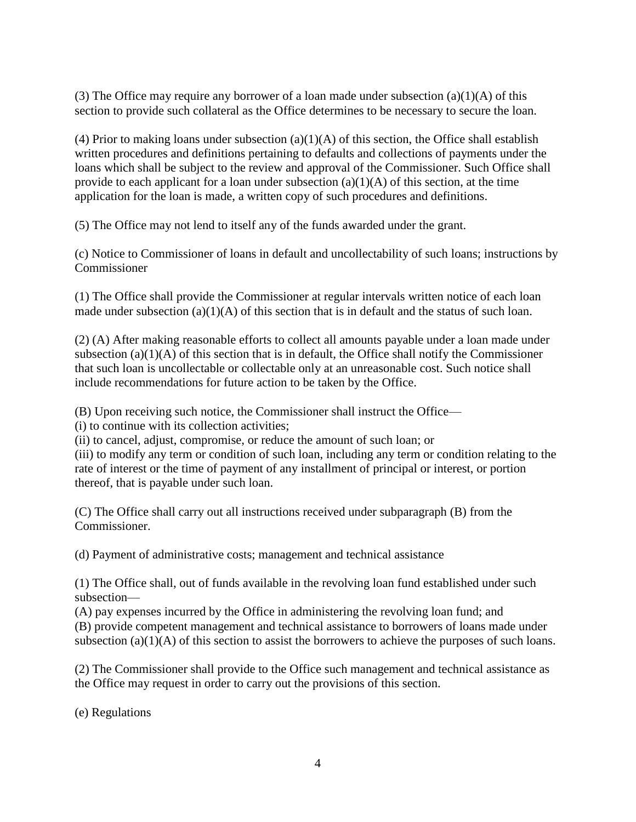(3) The Office may require any borrower of a loan made under subsection  $(a)(1)(A)$  of this section to provide such collateral as the Office determines to be necessary to secure the loan.

(4) Prior to making loans under subsection  $(a)(1)(A)$  of this section, the Office shall establish written procedures and definitions pertaining to defaults and collections of payments under the loans which shall be subject to the review and approval of the Commissioner. Such Office shall provide to each applicant for a loan under subsection  $(a)(1)(A)$  of this section, at the time application for the loan is made, a written copy of such procedures and definitions.

(5) The Office may not lend to itself any of the funds awarded under the grant.

(c) Notice to Commissioner of loans in default and uncollectability of such loans; instructions by Commissioner

(1) The Office shall provide the Commissioner at regular intervals written notice of each loan made under subsection  $(a)(1)(A)$  of this section that is in default and the status of such loan.

(2) (A) After making reasonable efforts to collect all amounts payable under a loan made under subsection  $(a)(1)(A)$  of this section that is in default, the Office shall notify the Commissioner that such loan is uncollectable or collectable only at an unreasonable cost. Such notice shall include recommendations for future action to be taken by the Office.

(B) Upon receiving such notice, the Commissioner shall instruct the Office—

(i) to continue with its collection activities;

(ii) to cancel, adjust, compromise, or reduce the amount of such loan; or

(iii) to modify any term or condition of such loan, including any term or condition relating to the rate of interest or the time of payment of any installment of principal or interest, or portion thereof, that is payable under such loan.

(C) The Office shall carry out all instructions received under subparagraph (B) from the Commissioner.

(d) Payment of administrative costs; management and technical assistance

(1) The Office shall, out of funds available in the revolving loan fund established under such subsection—

(A) pay expenses incurred by the Office in administering the revolving loan fund; and (B) provide competent management and technical assistance to borrowers of loans made under subsection (a)(1)(A) of this section to assist the borrowers to achieve the purposes of such loans.

(2) The Commissioner shall provide to the Office such management and technical assistance as the Office may request in order to carry out the provisions of this section.

(e) Regulations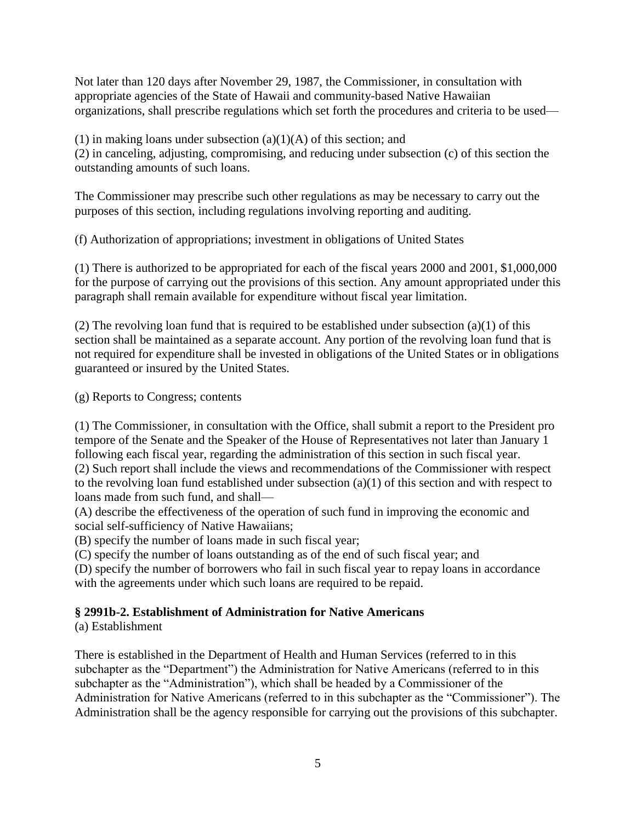Not later than 120 days after November 29, 1987, the Commissioner, in consultation with appropriate agencies of the State of Hawaii and community-based Native Hawaiian organizations, shall prescribe regulations which set forth the procedures and criteria to be used—

(1) in making loans under subsection  $(a)(1)(A)$  of this section; and (2) in canceling, adjusting, compromising, and reducing under subsection (c) of this section the outstanding amounts of such loans.

The Commissioner may prescribe such other regulations as may be necessary to carry out the purposes of this section, including regulations involving reporting and auditing.

(f) Authorization of appropriations; investment in obligations of United States

(1) There is authorized to be appropriated for each of the fiscal years 2000 and 2001, \$1,000,000 for the purpose of carrying out the provisions of this section. Any amount appropriated under this paragraph shall remain available for expenditure without fiscal year limitation.

(2) The revolving loan fund that is required to be established under subsection  $(a)(1)$  of this section shall be maintained as a separate account. Any portion of the revolving loan fund that is not required for expenditure shall be invested in obligations of the United States or in obligations guaranteed or insured by the United States.

(g) Reports to Congress; contents

(1) The Commissioner, in consultation with the Office, shall submit a report to the President pro tempore of the Senate and the Speaker of the House of Representatives not later than January 1 following each fiscal year, regarding the administration of this section in such fiscal year. (2) Such report shall include the views and recommendations of the Commissioner with respect to the revolving loan fund established under subsection (a)(1) of this section and with respect to loans made from such fund, and shall—

(A) describe the effectiveness of the operation of such fund in improving the economic and social self-sufficiency of Native Hawaiians;

(B) specify the number of loans made in such fiscal year;

(C) specify the number of loans outstanding as of the end of such fiscal year; and

(D) specify the number of borrowers who fail in such fiscal year to repay loans in accordance with the agreements under which such loans are required to be repaid.

## **§ 2991b-2. Establishment of Administration for Native Americans**

(a) Establishment

There is established in the Department of Health and Human Services (referred to in this subchapter as the "Department") the Administration for Native Americans (referred to in this subchapter as the "Administration"), which shall be headed by a Commissioner of the Administration for Native Americans (referred to in this subchapter as the "Commissioner"). The Administration shall be the agency responsible for carrying out the provisions of this subchapter.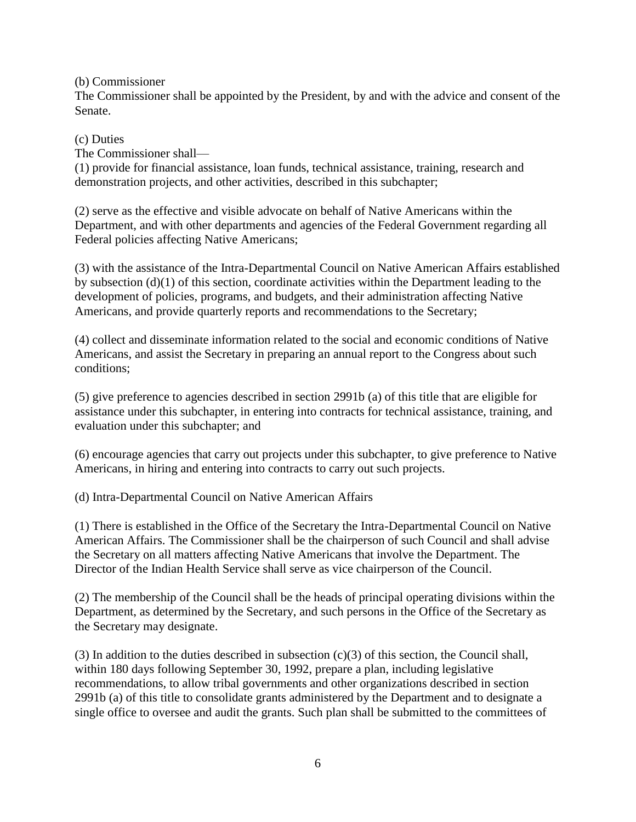(b) Commissioner

The Commissioner shall be appointed by the President, by and with the advice and consent of the Senate.

#### (c) Duties

The Commissioner shall—

(1) provide for financial assistance, loan funds, technical assistance, training, research and demonstration projects, and other activities, described in this subchapter;

(2) serve as the effective and visible advocate on behalf of Native Americans within the Department, and with other departments and agencies of the Federal Government regarding all Federal policies affecting Native Americans;

(3) with the assistance of the Intra-Departmental Council on Native American Affairs established by subsection (d)(1) of this section, coordinate activities within the Department leading to the development of policies, programs, and budgets, and their administration affecting Native Americans, and provide quarterly reports and recommendations to the Secretary;

(4) collect and disseminate information related to the social and economic conditions of Native Americans, and assist the Secretary in preparing an annual report to the Congress about such conditions;

(5) give preference to agencies described in section 2991b (a) of this title that are eligible for assistance under this subchapter, in entering into contracts for technical assistance, training, and evaluation under this subchapter; and

(6) encourage agencies that carry out projects under this subchapter, to give preference to Native Americans, in hiring and entering into contracts to carry out such projects.

(d) Intra-Departmental Council on Native American Affairs

(1) There is established in the Office of the Secretary the Intra-Departmental Council on Native American Affairs. The Commissioner shall be the chairperson of such Council and shall advise the Secretary on all matters affecting Native Americans that involve the Department. The Director of the Indian Health Service shall serve as vice chairperson of the Council.

(2) The membership of the Council shall be the heads of principal operating divisions within the Department, as determined by the Secretary, and such persons in the Office of the Secretary as the Secretary may designate.

(3) In addition to the duties described in subsection  $(c)(3)$  of this section, the Council shall, within 180 days following September 30, 1992, prepare a plan, including legislative recommendations, to allow tribal governments and other organizations described in section 2991b (a) of this title to consolidate grants administered by the Department and to designate a single office to oversee and audit the grants. Such plan shall be submitted to the committees of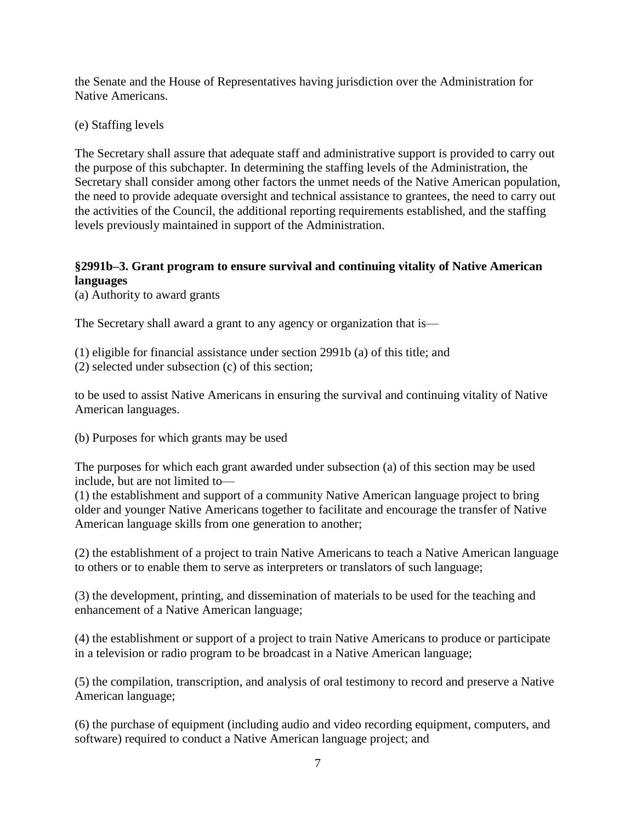the Senate and the House of Representatives having jurisdiction over the Administration for Native Americans.

(e) Staffing levels

The Secretary shall assure that adequate staff and administrative support is provided to carry out the purpose of this subchapter. In determining the staffing levels of the Administration, the Secretary shall consider among other factors the unmet needs of the Native American population, the need to provide adequate oversight and technical assistance to grantees, the need to carry out the activities of the Council, the additional reporting requirements established, and the staffing levels previously maintained in support of the Administration.

### **§2991b–3. Grant program to ensure survival and continuing vitality of Native American languages**

(a) Authority to award grants

The Secretary shall award a grant to any agency or organization that is—

(1) eligible for financial assistance under section 2991b (a) of this title; and (2) selected under subsection (c) of this section;

to be used to assist Native Americans in ensuring the survival and continuing vitality of Native American languages.

(b) Purposes for which grants may be used

The purposes for which each grant awarded under subsection (a) of this section may be used include, but are not limited to—

(1) the establishment and support of a community Native American language project to bring older and younger Native Americans together to facilitate and encourage the transfer of Native American language skills from one generation to another;

(2) the establishment of a project to train Native Americans to teach a Native American language to others or to enable them to serve as interpreters or translators of such language;

(3) the development, printing, and dissemination of materials to be used for the teaching and enhancement of a Native American language;

(4) the establishment or support of a project to train Native Americans to produce or participate in a television or radio program to be broadcast in a Native American language;

(5) the compilation, transcription, and analysis of oral testimony to record and preserve a Native American language;

(6) the purchase of equipment (including audio and video recording equipment, computers, and software) required to conduct a Native American language project; and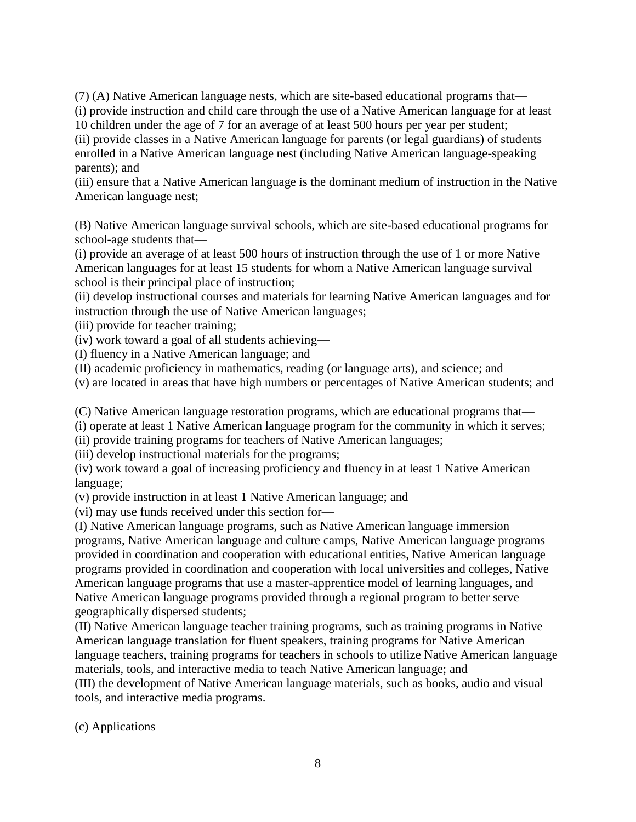(7) (A) Native American language nests, which are site-based educational programs that— (i) provide instruction and child care through the use of a Native American language for at least

10 children under the age of 7 for an average of at least 500 hours per year per student;

(ii) provide classes in a Native American language for parents (or legal guardians) of students enrolled in a Native American language nest (including Native American language-speaking parents); and

(iii) ensure that a Native American language is the dominant medium of instruction in the Native American language nest;

(B) Native American language survival schools, which are site-based educational programs for school-age students that—

(i) provide an average of at least 500 hours of instruction through the use of 1 or more Native American languages for at least 15 students for whom a Native American language survival school is their principal place of instruction;

(ii) develop instructional courses and materials for learning Native American languages and for instruction through the use of Native American languages;

(iii) provide for teacher training;

(iv) work toward a goal of all students achieving—

(I) fluency in a Native American language; and

(II) academic proficiency in mathematics, reading (or language arts), and science; and

(v) are located in areas that have high numbers or percentages of Native American students; and

(C) Native American language restoration programs, which are educational programs that—

(i) operate at least 1 Native American language program for the community in which it serves;

(ii) provide training programs for teachers of Native American languages;

(iii) develop instructional materials for the programs;

(iv) work toward a goal of increasing proficiency and fluency in at least 1 Native American language;

(v) provide instruction in at least 1 Native American language; and

(vi) may use funds received under this section for—

(I) Native American language programs, such as Native American language immersion programs, Native American language and culture camps, Native American language programs provided in coordination and cooperation with educational entities, Native American language programs provided in coordination and cooperation with local universities and colleges, Native American language programs that use a master-apprentice model of learning languages, and Native American language programs provided through a regional program to better serve geographically dispersed students;

(II) Native American language teacher training programs, such as training programs in Native American language translation for fluent speakers, training programs for Native American language teachers, training programs for teachers in schools to utilize Native American language materials, tools, and interactive media to teach Native American language; and

(III) the development of Native American language materials, such as books, audio and visual tools, and interactive media programs.

(c) Applications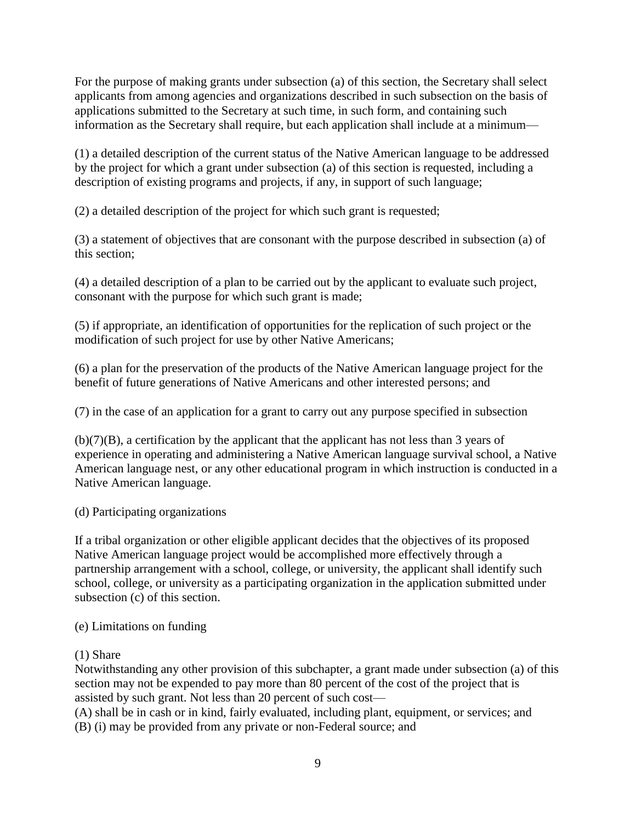For the purpose of making grants under subsection (a) of this section, the Secretary shall select applicants from among agencies and organizations described in such subsection on the basis of applications submitted to the Secretary at such time, in such form, and containing such information as the Secretary shall require, but each application shall include at a minimum—

(1) a detailed description of the current status of the Native American language to be addressed by the project for which a grant under subsection (a) of this section is requested, including a description of existing programs and projects, if any, in support of such language;

(2) a detailed description of the project for which such grant is requested;

(3) a statement of objectives that are consonant with the purpose described in subsection (a) of this section;

(4) a detailed description of a plan to be carried out by the applicant to evaluate such project, consonant with the purpose for which such grant is made;

(5) if appropriate, an identification of opportunities for the replication of such project or the modification of such project for use by other Native Americans;

(6) a plan for the preservation of the products of the Native American language project for the benefit of future generations of Native Americans and other interested persons; and

(7) in the case of an application for a grant to carry out any purpose specified in subsection

 $(b)(7)(B)$ , a certification by the applicant that the applicant has not less than 3 years of experience in operating and administering a Native American language survival school, a Native American language nest, or any other educational program in which instruction is conducted in a Native American language.

### (d) Participating organizations

If a tribal organization or other eligible applicant decides that the objectives of its proposed Native American language project would be accomplished more effectively through a partnership arrangement with a school, college, or university, the applicant shall identify such school, college, or university as a participating organization in the application submitted under subsection (c) of this section.

### (e) Limitations on funding

### (1) Share

Notwithstanding any other provision of this subchapter, a grant made under subsection (a) of this section may not be expended to pay more than 80 percent of the cost of the project that is assisted by such grant. Not less than 20 percent of such cost—

(A) shall be in cash or in kind, fairly evaluated, including plant, equipment, or services; and (B) (i) may be provided from any private or non-Federal source; and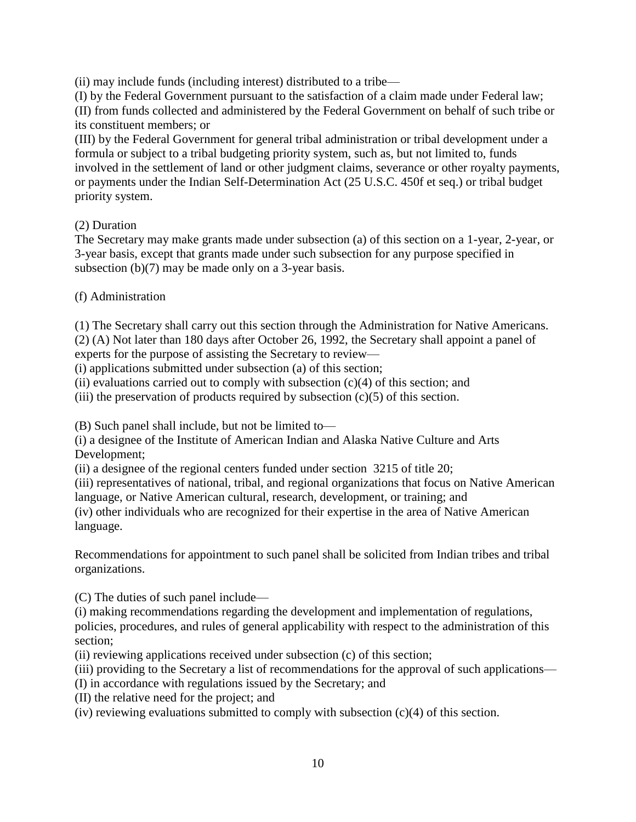(ii) may include funds (including interest) distributed to a tribe—

(I) by the Federal Government pursuant to the satisfaction of a claim made under Federal law; (II) from funds collected and administered by the Federal Government on behalf of such tribe or its constituent members; or

(III) by the Federal Government for general tribal administration or tribal development under a formula or subject to a tribal budgeting priority system, such as, but not limited to, funds involved in the settlement of land or other judgment claims, severance or other royalty payments, or payments under the Indian Self-Determination Act (25 U.S.C. 450f et seq.) or tribal budget priority system.

## (2) Duration

The Secretary may make grants made under subsection (a) of this section on a 1-year, 2-year, or 3-year basis, except that grants made under such subsection for any purpose specified in subsection (b)(7) may be made only on a 3-year basis.

## (f) Administration

(1) The Secretary shall carry out this section through the Administration for Native Americans. (2) (A) Not later than 180 days after October 26, 1992, the Secretary shall appoint a panel of

experts for the purpose of assisting the Secretary to review—

(i) applications submitted under subsection (a) of this section;

(ii) evaluations carried out to comply with subsection  $(c)(4)$  of this section; and

(iii) the preservation of products required by subsection  $(c)(5)$  of this section.

(B) Such panel shall include, but not be limited to—

(i) a designee of the Institute of American Indian and Alaska Native Culture and Arts Development;

(ii) a designee of the regional centers funded under section 3215 of title 20;

(iii) representatives of national, tribal, and regional organizations that focus on Native American language, or Native American cultural, research, development, or training; and

(iv) other individuals who are recognized for their expertise in the area of Native American language.

Recommendations for appointment to such panel shall be solicited from Indian tribes and tribal organizations.

(C) The duties of such panel include—

(i) making recommendations regarding the development and implementation of regulations, policies, procedures, and rules of general applicability with respect to the administration of this section;

(ii) reviewing applications received under subsection (c) of this section;

(iii) providing to the Secretary a list of recommendations for the approval of such applications—

- (I) in accordance with regulations issued by the Secretary; and
- (II) the relative need for the project; and

(iv) reviewing evaluations submitted to comply with subsection (c)(4) of this section.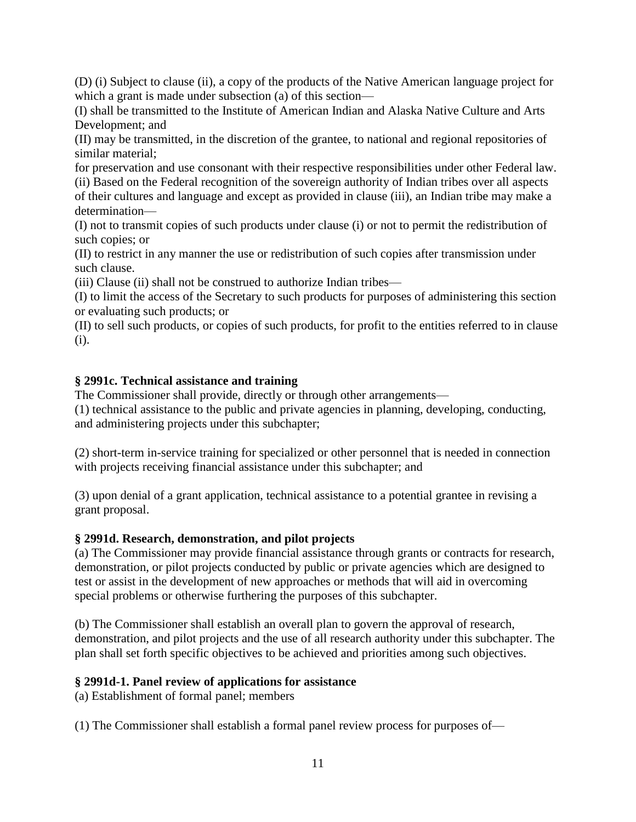(D) (i) Subject to clause (ii), a copy of the products of the Native American language project for which a grant is made under subsection (a) of this section—

(I) shall be transmitted to the Institute of American Indian and Alaska Native Culture and Arts Development; and

(II) may be transmitted, in the discretion of the grantee, to national and regional repositories of similar material;

for preservation and use consonant with their respective responsibilities under other Federal law. (ii) Based on the Federal recognition of the sovereign authority of Indian tribes over all aspects of their cultures and language and except as provided in clause (iii), an Indian tribe may make a determination—

(I) not to transmit copies of such products under clause (i) or not to permit the redistribution of such copies; or

(II) to restrict in any manner the use or redistribution of such copies after transmission under such clause.

(iii) Clause (ii) shall not be construed to authorize Indian tribes—

(I) to limit the access of the Secretary to such products for purposes of administering this section or evaluating such products; or

(II) to sell such products, or copies of such products, for profit to the entities referred to in clause (i).

## **§ 2991c. Technical assistance and training**

The Commissioner shall provide, directly or through other arrangements—

(1) technical assistance to the public and private agencies in planning, developing, conducting, and administering projects under this subchapter;

(2) short-term in-service training for specialized or other personnel that is needed in connection with projects receiving financial assistance under this subchapter; and

(3) upon denial of a grant application, technical assistance to a potential grantee in revising a grant proposal.

## **§ 2991d. Research, demonstration, and pilot projects**

(a) The Commissioner may provide financial assistance through grants or contracts for research, demonstration, or pilot projects conducted by public or private agencies which are designed to test or assist in the development of new approaches or methods that will aid in overcoming special problems or otherwise furthering the purposes of this subchapter.

(b) The Commissioner shall establish an overall plan to govern the approval of research, demonstration, and pilot projects and the use of all research authority under this subchapter. The plan shall set forth specific objectives to be achieved and priorities among such objectives.

## **§ 2991d-1. Panel review of applications for assistance**

(a) Establishment of formal panel; members

(1) The Commissioner shall establish a formal panel review process for purposes of—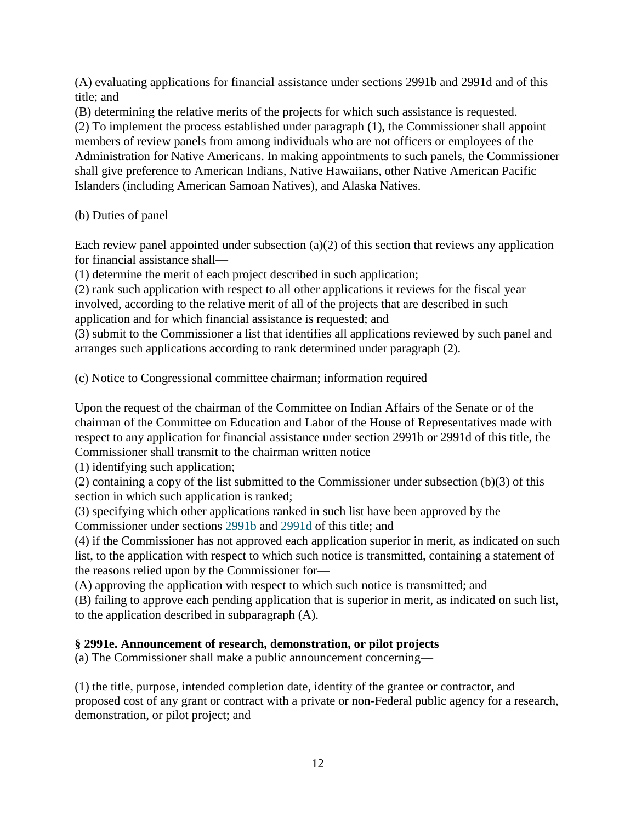(A) evaluating applications for financial assistance under sections 2991b and 2991d and of this title; and

(B) determining the relative merits of the projects for which such assistance is requested.

(2) To implement the process established under paragraph (1), the Commissioner shall appoint members of review panels from among individuals who are not officers or employees of the Administration for Native Americans. In making appointments to such panels, the Commissioner shall give preference to American Indians, Native Hawaiians, other Native American Pacific Islanders (including American Samoan Natives), and Alaska Natives.

(b) Duties of panel

Each review panel appointed under subsection  $(a)(2)$  of this section that reviews any application for financial assistance shall—

(1) determine the merit of each project described in such application;

(2) rank such application with respect to all other applications it reviews for the fiscal year involved, according to the relative merit of all of the projects that are described in such application and for which financial assistance is requested; and

(3) submit to the Commissioner a list that identifies all applications reviewed by such panel and arranges such applications according to rank determined under paragraph (2).

(c) Notice to Congressional committee chairman; information required

Upon the request of the chairman of the Committee on Indian Affairs of the Senate or of the chairman of the Committee on Education and Labor of the House of Representatives made with respect to any application for financial assistance under section 2991b or 2991d of this title, the Commissioner shall transmit to the chairman written notice—

(1) identifying such application;

(2) containing a copy of the list submitted to the Commissioner under subsection (b)(3) of this section in which such application is ranked;

(3) specifying which other applications ranked in such list have been approved by the Commissioner under sections [2991b](http://www.law.cornell.edu/uscode/text/42/2991b) and [2991d](http://www.law.cornell.edu/uscode/text/42/2991d) of this title; and

(4) if the Commissioner has not approved each application superior in merit, as indicated on such list, to the application with respect to which such notice is transmitted, containing a statement of the reasons relied upon by the Commissioner for—

(A) approving the application with respect to which such notice is transmitted; and

(B) failing to approve each pending application that is superior in merit, as indicated on such list, to the application described in subparagraph (A).

# **§ 2991e. Announcement of research, demonstration, or pilot projects**

(a) The Commissioner shall make a public announcement concerning—

(1) the title, purpose, intended completion date, identity of the grantee or contractor, and proposed cost of any grant or contract with a private or non-Federal public agency for a research, demonstration, or pilot project; and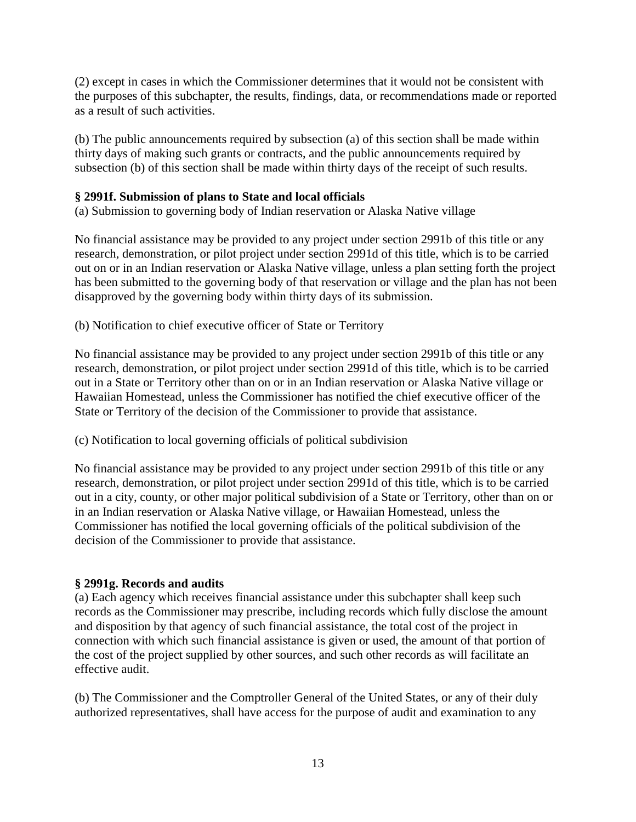(2) except in cases in which the Commissioner determines that it would not be consistent with the purposes of this subchapter, the results, findings, data, or recommendations made or reported as a result of such activities.

(b) The public announcements required by subsection (a) of this section shall be made within thirty days of making such grants or contracts, and the public announcements required by subsection (b) of this section shall be made within thirty days of the receipt of such results.

#### **§ 2991f. Submission of plans to State and local officials**

(a) Submission to governing body of Indian reservation or Alaska Native village

No financial assistance may be provided to any project under section 2991b of this title or any research, demonstration, or pilot project under section 2991d of this title, which is to be carried out on or in an Indian reservation or Alaska Native village, unless a plan setting forth the project has been submitted to the governing body of that reservation or village and the plan has not been disapproved by the governing body within thirty days of its submission.

(b) Notification to chief executive officer of State or Territory

No financial assistance may be provided to any project under section 2991b of this title or any research, demonstration, or pilot project under section 2991d of this title, which is to be carried out in a State or Territory other than on or in an Indian reservation or Alaska Native village or Hawaiian Homestead, unless the Commissioner has notified the chief executive officer of the State or Territory of the decision of the Commissioner to provide that assistance.

(c) Notification to local governing officials of political subdivision

No financial assistance may be provided to any project under section 2991b of this title or any research, demonstration, or pilot project under section 2991d of this title, which is to be carried out in a city, county, or other major political subdivision of a State or Territory, other than on or in an Indian reservation or Alaska Native village, or Hawaiian Homestead, unless the Commissioner has notified the local governing officials of the political subdivision of the decision of the Commissioner to provide that assistance.

#### **§ 2991g. Records and audits**

(a) Each agency which receives financial assistance under this subchapter shall keep such records as the Commissioner may prescribe, including records which fully disclose the amount and disposition by that agency of such financial assistance, the total cost of the project in connection with which such financial assistance is given or used, the amount of that portion of the cost of the project supplied by other sources, and such other records as will facilitate an effective audit.

(b) The Commissioner and the Comptroller General of the United States, or any of their duly authorized representatives, shall have access for the purpose of audit and examination to any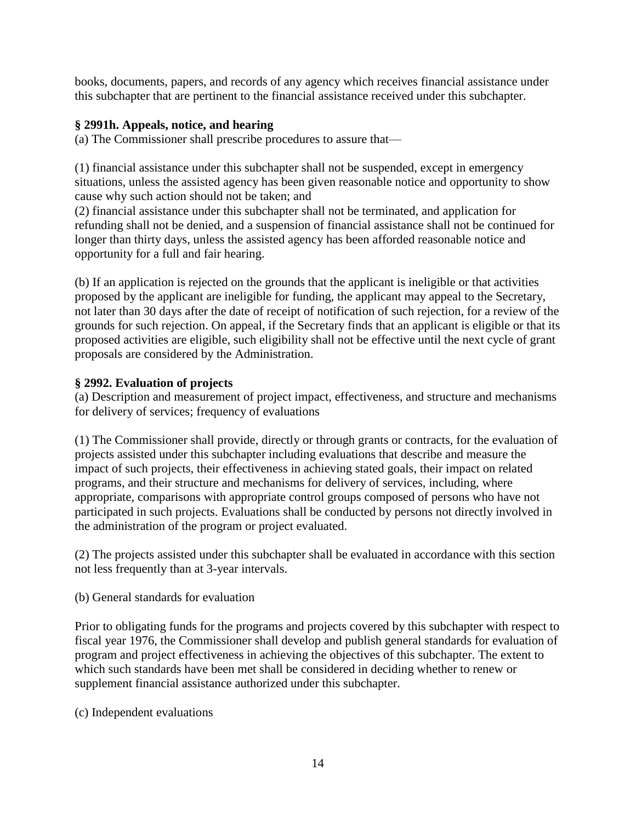books, documents, papers, and records of any agency which receives financial assistance under this subchapter that are pertinent to the financial assistance received under this subchapter.

### **§ 2991h. Appeals, notice, and hearing**

(a) The Commissioner shall prescribe procedures to assure that—

(1) financial assistance under this subchapter shall not be suspended, except in emergency situations, unless the assisted agency has been given reasonable notice and opportunity to show cause why such action should not be taken; and

(2) financial assistance under this subchapter shall not be terminated, and application for refunding shall not be denied, and a suspension of financial assistance shall not be continued for longer than thirty days, unless the assisted agency has been afforded reasonable notice and opportunity for a full and fair hearing.

(b) If an application is rejected on the grounds that the applicant is ineligible or that activities proposed by the applicant are ineligible for funding, the applicant may appeal to the Secretary, not later than 30 days after the date of receipt of notification of such rejection, for a review of the grounds for such rejection. On appeal, if the Secretary finds that an applicant is eligible or that its proposed activities are eligible, such eligibility shall not be effective until the next cycle of grant proposals are considered by the Administration.

### **§ 2992. Evaluation of projects**

(a) Description and measurement of project impact, effectiveness, and structure and mechanisms for delivery of services; frequency of evaluations

(1) The Commissioner shall provide, directly or through grants or contracts, for the evaluation of projects assisted under this subchapter including evaluations that describe and measure the impact of such projects, their effectiveness in achieving stated goals, their impact on related programs, and their structure and mechanisms for delivery of services, including, where appropriate, comparisons with appropriate control groups composed of persons who have not participated in such projects. Evaluations shall be conducted by persons not directly involved in the administration of the program or project evaluated.

(2) The projects assisted under this subchapter shall be evaluated in accordance with this section not less frequently than at 3-year intervals.

(b) General standards for evaluation

Prior to obligating funds for the programs and projects covered by this subchapter with respect to fiscal year 1976, the Commissioner shall develop and publish general standards for evaluation of program and project effectiveness in achieving the objectives of this subchapter. The extent to which such standards have been met shall be considered in deciding whether to renew or supplement financial assistance authorized under this subchapter.

(c) Independent evaluations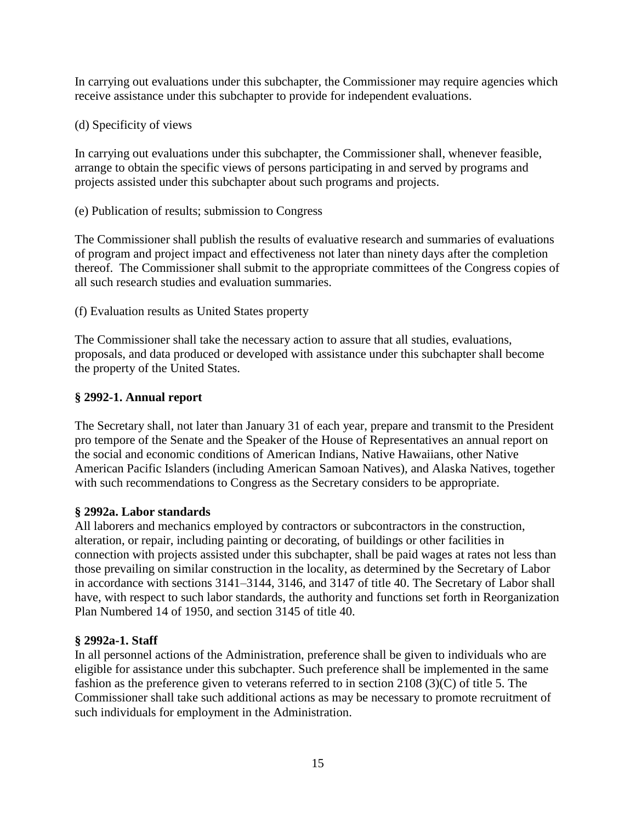In carrying out evaluations under this subchapter, the Commissioner may require agencies which receive assistance under this subchapter to provide for independent evaluations.

(d) Specificity of views

In carrying out evaluations under this subchapter, the Commissioner shall, whenever feasible, arrange to obtain the specific views of persons participating in and served by programs and projects assisted under this subchapter about such programs and projects.

(e) Publication of results; submission to Congress

The Commissioner shall publish the results of evaluative research and summaries of evaluations of program and project impact and effectiveness not later than ninety days after the completion thereof. The Commissioner shall submit to the appropriate committees of the Congress copies of all such research studies and evaluation summaries.

(f) Evaluation results as United States property

The Commissioner shall take the necessary action to assure that all studies, evaluations, proposals, and data produced or developed with assistance under this subchapter shall become the property of the United States.

### **§ 2992-1. Annual report**

The Secretary shall, not later than January 31 of each year, prepare and transmit to the President pro tempore of the Senate and the Speaker of the House of Representatives an annual report on the social and economic conditions of American Indians, Native Hawaiians, other Native American Pacific Islanders (including American Samoan Natives), and Alaska Natives, together with such recommendations to Congress as the Secretary considers to be appropriate.

### **§ 2992a. Labor standards**

All laborers and mechanics employed by contractors or subcontractors in the construction, alteration, or repair, including painting or decorating, of buildings or other facilities in connection with projects assisted under this subchapter, shall be paid wages at rates not less than those prevailing on similar construction in the locality, as determined by the Secretary of Labor in accordance with sections 3141–3144, 3146, and 3147 of title 40. The Secretary of Labor shall have, with respect to such labor standards, the authority and functions set forth in Reorganization Plan Numbered 14 of 1950, and section 3145 of title 40.

### **§ 2992a-1. Staff**

In all personnel actions of the Administration, preference shall be given to individuals who are eligible for assistance under this subchapter. Such preference shall be implemented in the same fashion as the preference given to veterans referred to in section 2108 (3)(C) of title 5. The Commissioner shall take such additional actions as may be necessary to promote recruitment of such individuals for employment in the Administration.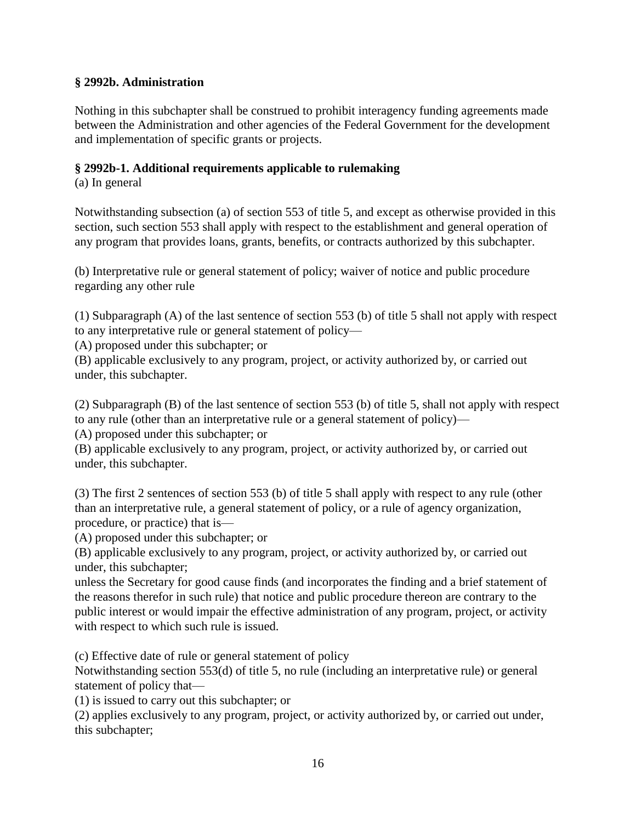### **§ 2992b. Administration**

Nothing in this subchapter shall be construed to prohibit interagency funding agreements made between the Administration and other agencies of the Federal Government for the development and implementation of specific grants or projects.

### **§ 2992b-1. Additional requirements applicable to rulemaking**

(a) In general

Notwithstanding subsection (a) of section 553 of title 5, and except as otherwise provided in this section, such section 553 shall apply with respect to the establishment and general operation of any program that provides loans, grants, benefits, or contracts authorized by this subchapter.

(b) Interpretative rule or general statement of policy; waiver of notice and public procedure regarding any other rule

(1) Subparagraph (A) of the last sentence of section 553 (b) of title 5 shall not apply with respect to any interpretative rule or general statement of policy—

(A) proposed under this subchapter; or

(B) applicable exclusively to any program, project, or activity authorized by, or carried out under, this subchapter.

(2) Subparagraph (B) of the last sentence of section 553 (b) of title 5, shall not apply with respect to any rule (other than an interpretative rule or a general statement of policy)—

(A) proposed under this subchapter; or

(B) applicable exclusively to any program, project, or activity authorized by, or carried out under, this subchapter.

(3) The first 2 sentences of section 553 (b) of title 5 shall apply with respect to any rule (other than an interpretative rule, a general statement of policy, or a rule of agency organization, procedure, or practice) that is—

(A) proposed under this subchapter; or

(B) applicable exclusively to any program, project, or activity authorized by, or carried out under, this subchapter;

unless the Secretary for good cause finds (and incorporates the finding and a brief statement of the reasons therefor in such rule) that notice and public procedure thereon are contrary to the public interest or would impair the effective administration of any program, project, or activity with respect to which such rule is issued.

(c) Effective date of rule or general statement of policy

Notwithstanding section 553(d) of title 5, no rule (including an interpretative rule) or general statement of policy that—

(1) is issued to carry out this subchapter; or

(2) applies exclusively to any program, project, or activity authorized by, or carried out under, this subchapter;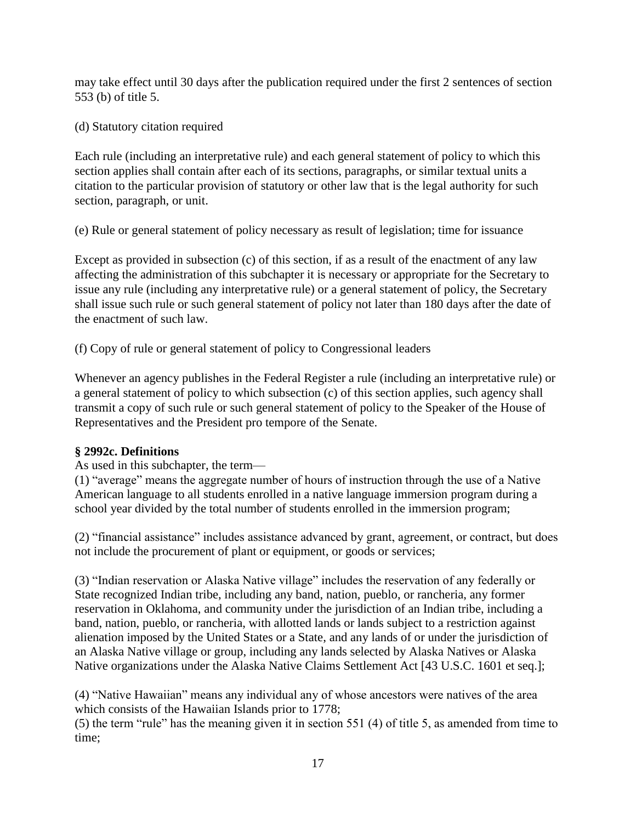may take effect until 30 days after the publication required under the first 2 sentences of section 553 (b) of title 5.

(d) Statutory citation required

Each rule (including an interpretative rule) and each general statement of policy to which this section applies shall contain after each of its sections, paragraphs, or similar textual units a citation to the particular provision of statutory or other law that is the legal authority for such section, paragraph, or unit.

(e) Rule or general statement of policy necessary as result of legislation; time for issuance

Except as provided in subsection (c) of this section, if as a result of the enactment of any law affecting the administration of this subchapter it is necessary or appropriate for the Secretary to issue any rule (including any interpretative rule) or a general statement of policy, the Secretary shall issue such rule or such general statement of policy not later than 180 days after the date of the enactment of such law.

(f) Copy of rule or general statement of policy to Congressional leaders

Whenever an agency publishes in the Federal Register a rule (including an interpretative rule) or a general statement of policy to which subsection (c) of this section applies, such agency shall transmit a copy of such rule or such general statement of policy to the Speaker of the House of Representatives and the President pro tempore of the Senate.

## **§ 2992c. Definitions**

As used in this subchapter, the term—

(1) "average" means the aggregate number of hours of instruction through the use of a Native American language to all students enrolled in a native language immersion program during a school year divided by the total number of students enrolled in the immersion program;

 $(2)$  "financial assistance" includes assistance advanced by grant, agreement, or contract, but does not include the procurement of plant or equipment, or goods or services;

(3) "Indian reservation or Alaska Native village" includes the reservation of any federally or State recognized Indian tribe, including any band, nation, pueblo, or rancheria, any former reservation in Oklahoma, and community under the jurisdiction of an Indian tribe, including a band, nation, pueblo, or rancheria, with allotted lands or lands subject to a restriction against alienation imposed by the United States or a State, and any lands of or under the jurisdiction of an Alaska Native village or group, including any lands selected by Alaska Natives or Alaska Native organizations under the Alaska Native Claims Settlement Act [43 U.S.C. 1601 et seq.];

(4) "Native Hawaiian" means any individual any of whose ancestors were natives of the area which consists of the Hawaiian Islands prior to 1778;

 $(5)$  the term "rule" has the meaning given it in section 551 (4) of title 5, as amended from time to time;